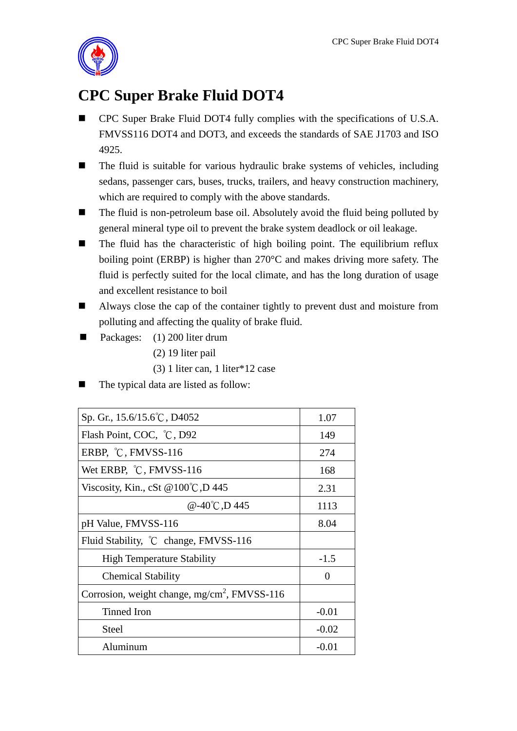

## **CPC Super Brake Fluid DOT4**

- CPC Super Brake Fluid DOT4 fully complies with the specifications of U.S.A. FMVSS116 DOT4 and DOT3, and exceeds the standards of SAE J1703 and ISO 4925.
- The fluid is suitable for various hydraulic brake systems of vehicles, including sedans, passenger cars, buses, trucks, trailers, and heavy construction machinery, which are required to comply with the above standards.
- The fluid is non-petroleum base oil. Absolutely avoid the fluid being polluted by general mineral type oil to prevent the brake system deadlock or oil leakage.
- $\blacksquare$  The fluid has the characteristic of high boiling point. The equilibrium reflux boiling point (ERBP) is higher than 270°C and makes driving more safety. The fluid is perfectly suited for the local climate, and has the long duration of usage and excellent resistance to boil
- Always close the cap of the container tightly to prevent dust and moisture from polluting and affecting the quality of brake fluid.
- Packages:  $(1)$  200 liter drum
	- (2) 19 liter pail
	- (3) 1 liter can, 1 liter\*12 case
- The typical data are listed as follow:

| Sp. Gr., 15.6/15.6°C, D4052                              | 1.07    |
|----------------------------------------------------------|---------|
| Flash Point, COC, °C, D92                                | 149     |
| ERBP, $\degree$ C, FMVSS-116                             | 274     |
| Wet ERBP, °C, FMVSS-116                                  | 168     |
| Viscosity, Kin., cSt @ $100^{\circ}$ C, D 445            | 2.31    |
| @-40°C,D 445                                             | 1113    |
| pH Value, FMVSS-116                                      | 8.04    |
| Fluid Stability, °C change, FMVSS-116                    |         |
| <b>High Temperature Stability</b>                        | $-1.5$  |
| <b>Chemical Stability</b>                                | ∩       |
| Corrosion, weight change, mg/cm <sup>2</sup> , FMVSS-116 |         |
| Tinned Iron                                              | $-0.01$ |
| Steel                                                    | $-0.02$ |
| Aluminum                                                 | $-0.01$ |